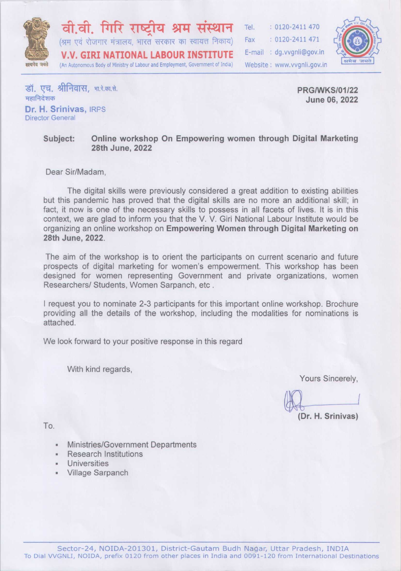

वी.वी. गिरि राष्टीय श्रम संस्थान (श्रम एवं रोजगार मंत्रालय, भारत सरकार का स्वायत्त निकाय) **V.V. GIRI NATIONAL LABOUR INSTITUTE** (An Autonomous Body of Ministry of Labour and Employment, Government of India)

Tel.  $: 0120 - 2411470$  $: 0120 - 2411471$ Fax E-mail: dg.vvgnli@gov.in Website: www.vvanli.gov.in



डॉ. एच. श्रीनिवास, भा.रे.का.से. महानिदेशक Dr. H. Srinivas, IRPS

**Director General** 

**PRG/WKS/01/22** June 06, 2022

#### Online workshop On Empowering women through Digital Marketing Subject: 28th June, 2022

Dear Sir/Madam.

The digital skills were previously considered a great addition to existing abilities but this pandemic has proved that the digital skills are no more an additional skill; in fact, it now is one of the necessary skills to possess in all facets of lives. It is in this context, we are glad to inform you that the V. V. Giri National Labour Institute would be organizing an online workshop on Empowering Women through Digital Marketing on 28th June, 2022.

The aim of the workshop is to orient the participants on current scenario and future prospects of digital marketing for women's empowerment. This workshop has been designed for women representing Government and private organizations, women Researchers/ Students, Women Sarpanch, etc.

I request you to nominate 2-3 participants for this important online workshop. Brochure providing all the details of the workshop, including the modalities for nominations is attached.

We look forward to your positive response in this regard

With kind regards,

Yours Sincerely,

(Dr. H. Srinivas)

To.

- Ministries/Government Departments
- **Research Institutions**  $\blacksquare$
- Universities
- Village Sarpanch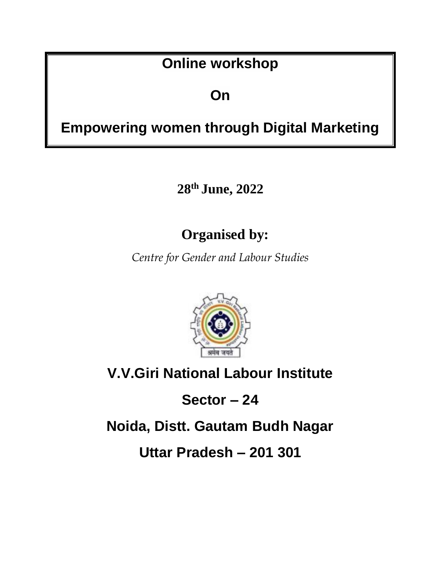# **Online workshop**

# **On**

# **Empowering women through Digital Marketing**

**28th June, 2022**

# **Organised by:**

*Centre for Gender and Labour Studies*



# **V.V.Giri National Labour Institute**

**Sector – 24**

**Noida, Distt. Gautam Budh Nagar**

**Uttar Pradesh – 201 301**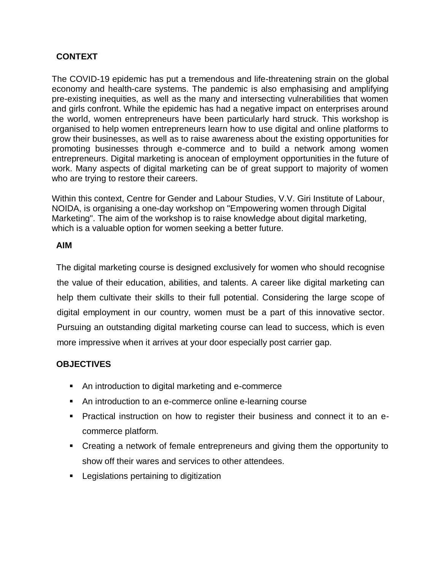# **CONTEXT**

The COVID-19 epidemic has put a tremendous and life-threatening strain on the global economy and health-care systems. The pandemic is also emphasising and amplifying pre-existing inequities, as well as the many and intersecting vulnerabilities that women and girls confront. While the epidemic has had a negative impact on enterprises around the world, women entrepreneurs have been particularly hard struck. This workshop is organised to help women entrepreneurs learn how to use digital and online platforms to grow their businesses, as well as to raise awareness about the existing opportunities for promoting businesses through e-commerce and to build a network among women entrepreneurs. Digital marketing is anocean of employment opportunities in the future of work. Many aspects of digital marketing can be of great support to majority of women who are trying to restore their careers.

Within this context, Centre for Gender and Labour Studies, V.V. Giri Institute of Labour, NOIDA, is organising a one-day workshop on "Empowering women through Digital Marketing". The aim of the workshop is to raise knowledge about digital marketing, which is a valuable option for women seeking a better future.

#### **AIM**

The digital marketing course is designed exclusively for women who should recognise the value of their education, abilities, and talents. A career like digital marketing can help them cultivate their skills to their full potential. Considering the large scope of digital employment in our country, women must be a part of this innovative sector. Pursuing an outstanding digital marketing course can lead to success, which is even more impressive when it arrives at your door especially post carrier gap.

# **OBJECTIVES**

- An introduction to digital marketing and e-commerce
- An introduction to an e-commerce online e-learning course
- Practical instruction on how to register their business and connect it to an ecommerce platform.
- Creating a network of female entrepreneurs and giving them the opportunity to show off their wares and services to other attendees.
- **Legislations pertaining to digitization**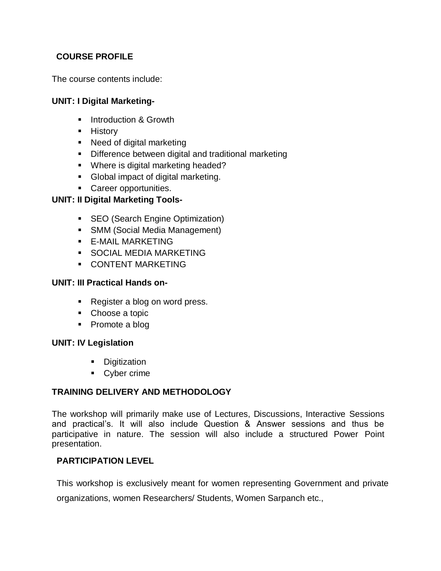# **COURSE PROFILE**

The course contents include:

### **UNIT: I Digital Marketing-**

- **Introduction & Growth**
- **History**
- Need of digital marketing
- **Difference between digital and traditional marketing**
- **Where is digital marketing headed?**
- Global impact of digital marketing.
- **Career opportunities.**

### **UNIT: II Digital Marketing Tools-**

- **SEO** (Search Engine Optimization)
- **SMM (Social Media Management)**
- **E-MAIL MARKETING**
- **SOCIAL MEDIA MARKETING**
- **CONTENT MARKETING**

### **UNIT: III Practical Hands on-**

- Register a blog on word press.
- Choose a topic
- Promote a blog

#### **UNIT: IV Legislation**

- **Digitization**
- Cyber crime

# **TRAINING DELIVERY AND METHODOLOGY**

The workshop will primarily make use of Lectures, Discussions, Interactive Sessions and practical's. It will also include Question & Answer sessions and thus be participative in nature. The session will also include a structured Power Point presentation.

#### **PARTICIPATION LEVEL**

This workshop is exclusively meant for women representing Government and private

organizations, women Researchers/ Students, Women Sarpanch etc.,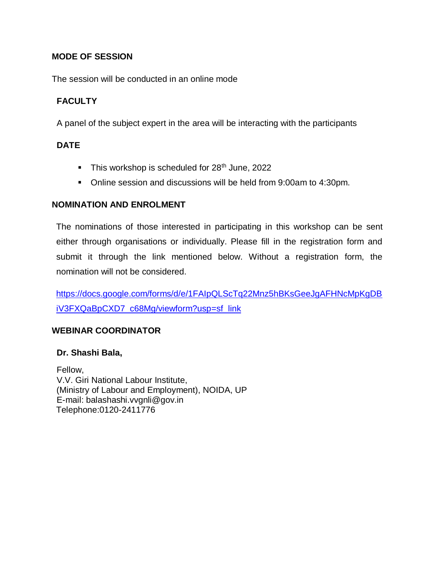### **MODE OF SESSION**

The session will be conducted in an online mode

# **FACULTY**

A panel of the subject expert in the area will be interacting with the participants

# **DATE**

- This workshop is scheduled for  $28<sup>th</sup>$  June, 2022
- Online session and discussions will be held from 9:00am to 4:30pm.

#### **NOMINATION AND ENROLMENT**

The nominations of those interested in participating in this workshop can be sent either through organisations or individually. Please fill in the registration form and submit it through the link mentioned below. Without a registration form, the nomination will not be considered.

[https://docs.google.com/forms/d/e/1FAIpQLScTq22Mnz5hBKsGeeJgAFHNcMpKgDB](https://docs.google.com/forms/d/e/1FAIpQLScTq22Mnz5hBKsGeeJgAFHNcMpKgDBiV3FXQaBpCXD7_c68Mg/viewform?usp=sf_link) [iV3FXQaBpCXD7\\_c68Mg/viewform?usp=sf\\_link](https://docs.google.com/forms/d/e/1FAIpQLScTq22Mnz5hBKsGeeJgAFHNcMpKgDBiV3FXQaBpCXD7_c68Mg/viewform?usp=sf_link)

# **WEBINAR COORDINATOR**

#### **Dr. Shashi Bala,**

 Fellow, V.V. Giri National Labour Institute, (Ministry of Labour and Employment), NOIDA, UP E-mail: balashashi.vvgnli@gov.in Telephone:0120-2411776